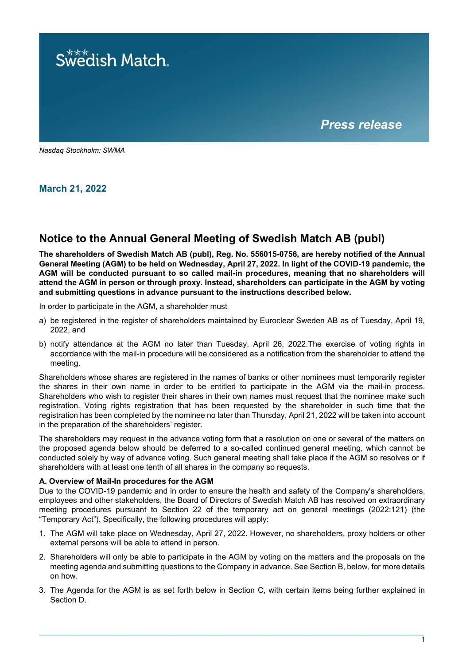

*Nasdaq Stockholm: SWMA*

**March 21, 2022**

# **Notice to the Annual General Meeting of Swedish Match AB (publ)**

**The shareholders of Swedish Match AB (publ), Reg. No. 556015-0756, are hereby notified of the Annual General Meeting (AGM) to be held on Wednesday, April 27, 2022. In light of the COVID-19 pandemic, the AGM will be conducted pursuant to so called mail-in procedures, meaning that no shareholders will attend the AGM in person or through proxy. Instead, shareholders can participate in the AGM by voting and submitting questions in advance pursuant to the instructions described below.**

In order to participate in the AGM, a shareholder must

- a) be registered in the register of shareholders maintained by Euroclear Sweden AB as of Tuesday, April 19, 2022, and
- b) notify attendance at the AGM no later than Tuesday, April 26, 2022.The exercise of voting rights in accordance with the mail-in procedure will be considered as a notification from the shareholder to attend the meeting.

Shareholders whose shares are registered in the names of banks or other nominees must temporarily register the shares in their own name in order to be entitled to participate in the AGM via the mail-in process. Shareholders who wish to register their shares in their own names must request that the nominee make such registration. Voting rights registration that has been requested by the shareholder in such time that the registration has been completed by the nominee no later than Thursday, April 21, 2022 will be taken into account in the preparation of the shareholders' register.

The shareholders may request in the advance voting form that a resolution on one or several of the matters on the proposed agenda below should be deferred to a so-called continued general meeting, which cannot be conducted solely by way of advance voting. Such general meeting shall take place if the AGM so resolves or if shareholders with at least one tenth of all shares in the company so requests.

# **A. Overview of Mail-In procedures for the AGM**

Due to the COVID-19 pandemic and in order to ensure the health and safety of the Company's shareholders, employees and other stakeholders, the Board of Directors of Swedish Match AB has resolved on extraordinary meeting procedures pursuant to Section 22 of the temporary act on general meetings (2022:121) (the "Temporary Act"). Specifically, the following procedures will apply:

- 1. The AGM will take place on Wednesday, April 27, 2022. However, no shareholders, proxy holders or other external persons will be able to attend in person.
- 2. Shareholders will only be able to participate in the AGM by voting on the matters and the proposals on the meeting agenda and submitting questions to the Company in advance. See Section B, below, for more details on how.
- 3. The Agenda for the AGM is as set forth below in Section C, with certain items being further explained in Section D.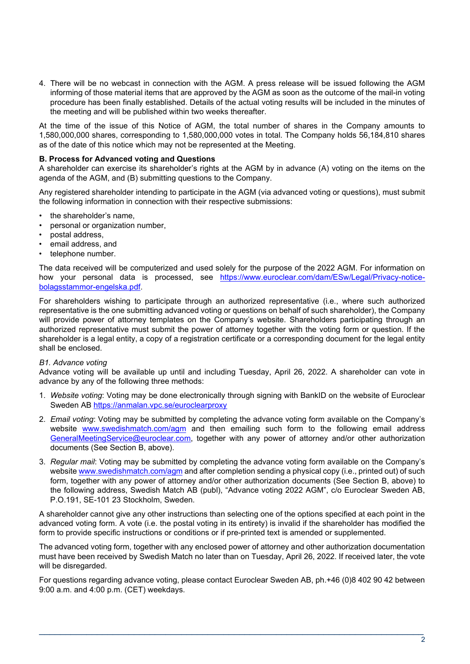4. There will be no webcast in connection with the AGM. A press release will be issued following the AGM informing of those material items that are approved by the AGM as soon as the outcome of the mail-in voting procedure has been finally established. Details of the actual voting results will be included in the minutes of the meeting and will be published within two weeks thereafter.

At the time of the issue of this Notice of AGM, the total number of shares in the Company amounts to 1,580,000,000 shares, corresponding to 1,580,000,000 votes in total. The Company holds 56,184,810 shares as of the date of this notice which may not be represented at the Meeting.

# **B. Process for Advanced voting and Questions**

A shareholder can exercise its shareholder's rights at the AGM by in advance (A) voting on the items on the agenda of the AGM, and (B) submitting questions to the Company.

Any registered shareholder intending to participate in the AGM (via advanced voting or questions), must submit the following information in connection with their respective submissions:

- the shareholder's name,
- personal or organization number,
- postal address,
- email address, and
- telephone number.

The data received will be computerized and used solely for the purpose of the 2022 AGM. For information on how your personal data is processed, see [https://www.euroclear.com/dam/ESw/Legal/Privacy-notice](https://www.euroclear.com/dam/ESw/Legal/Privacy-notice-bolagsstammor-engelska.pdf)[bolagsstammor-engelska.pdf.](https://www.euroclear.com/dam/ESw/Legal/Privacy-notice-bolagsstammor-engelska.pdf)

For shareholders wishing to participate through an authorized representative (i.e., where such authorized representative is the one submitting advanced voting or questions on behalf of such shareholder), the Company will provide power of attorney templates on the Company's website. Shareholders participating through an authorized representative must submit the power of attorney together with the voting form or question. If the shareholder is a legal entity, a copy of a registration certificate or a corresponding document for the legal entity shall be enclosed.

#### *B1. Advance voting*

Advance voting will be available up until and including Tuesday, April 26, 2022. A shareholder can vote in advance by any of the following three methods:

- 1. *Website voting*: Voting may be done electronically through signing with BankID on the website of Euroclear Sweden AB<https://anmalan.vpc.se/euroclearproxy>
- 2. *Email voting*: Voting may be submitted by completing the advance voting form available on the Company's website [www.swedishmatch.com/agm](http://www.swedishmatch.com/agm) and then emailing such form to the following email address [GeneralMeetingService@euroclear.com,](mailto:GeneralMeetingService@euroclear.com) together with any power of attorney and/or other authorization documents (See Section B, above).
- 3. *Regular mail*: Voting may be submitted by completing the advance voting form available on the Company's website [www.swedishmatch.com/agm](http://www.swedishmatch.com/agm) and after completion sending a physical copy (i.e., printed out) of such form, together with any power of attorney and/or other authorization documents (See Section B, above) to the following address, Swedish Match AB (publ), "Advance voting 2022 AGM", c/o Euroclear Sweden AB, P.O.191, SE-101 23 Stockholm, Sweden.

A shareholder cannot give any other instructions than selecting one of the options specified at each point in the advanced voting form. A vote (i.e. the postal voting in its entirety) is invalid if the shareholder has modified the form to provide specific instructions or conditions or if pre-printed text is amended or supplemented.

The advanced voting form, together with any enclosed power of attorney and other authorization documentation must have been received by Swedish Match no later than on Tuesday, April 26, 2022. If received later, the vote will be disregarded.

For questions regarding advance voting, please contact Euroclear Sweden AB, ph.+46 (0)8 402 90 42 between 9:00 a.m. and 4:00 p.m. (CET) weekdays.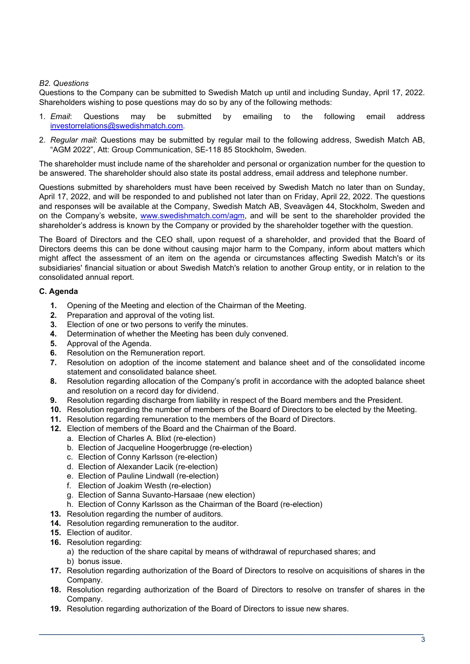# *B2. Questions*

Questions to the Company can be submitted to Swedish Match up until and including Sunday, April 17, 2022. Shareholders wishing to pose questions may do so by any of the following methods:

- 1. *Email*: Questions may be submitted by emailing to the following email address [investorrelations@swedishmatch.com.](mailto:investorrelations@swedishmatch.com)
- 2. *Regular mail*: Questions may be submitted by regular mail to the following address, Swedish Match AB, "AGM 2022", Att: Group Communication, SE-118 85 Stockholm, Sweden.

The shareholder must include name of the shareholder and personal or organization number for the question to be answered. The shareholder should also state its postal address, email address and telephone number.

Questions submitted by shareholders must have been received by Swedish Match no later than on Sunday, April 17, 2022, and will be responded to and published not later than on Friday, April 22, 2022. The questions and responses will be available at the Company, Swedish Match AB, Sveavägen 44, Stockholm, Sweden and on the Company's website, [www.swedishmatch.com/agm,](http://www.swedishmatch.com/agm) and will be sent to the shareholder provided the shareholder's address is known by the Company or provided by the shareholder together with the question.

The Board of Directors and the CEO shall, upon request of a shareholder, and provided that the Board of Directors deems this can be done without causing major harm to the Company, inform about matters which might affect the assessment of an item on the agenda or circumstances affecting Swedish Match's or its subsidiaries' financial situation or about Swedish Match's relation to another Group entity, or in relation to the consolidated annual report.

# **C. Agenda**

- **1.** Opening of the Meeting and election of the Chairman of the Meeting.<br>**2.** Preparation and approval of the voting list.
- **2.** Preparation and approval of the voting list.
- **3.** Election of one or two persons to verify the minutes.
- **4.** Determination of whether the Meeting has been duly convened.
- **5.** Approval of the Agenda.<br>**6.** Resolution on the Remur
- **6.** Resolution on the Remuneration report.
- **7.** Resolution on adoption of the income statement and balance sheet and of the consolidated income statement and consolidated balance sheet.
- **8.** Resolution regarding allocation of the Company's profit in accordance with the adopted balance sheet and resolution on a record day for dividend.
- **9.** Resolution regarding discharge from liability in respect of the Board members and the President.
- **10.** Resolution regarding the number of members of the Board of Directors to be elected by the Meeting.
- **11.** Resolution regarding remuneration to the members of the Board of Directors.
- **12.** Election of members of the Board and the Chairman of the Board.
	- a. Election of Charles A. Blixt (re-election)
		- b. Election of Jacqueline Hoogerbrugge (re-election)
		- c. Election of Conny Karlsson (re-election)
		- d. Election of Alexander Lacik (re-election)
		- e. Election of Pauline Lindwall (re-election)
		- f. Election of Joakim Westh (re-election)
		- g. Election of Sanna Suvanto-Harsaae (new election)
	- h. Election of Conny Karlsson as the Chairman of the Board (re-election)
- **13.** Resolution regarding the number of auditors.
- **14.** Resolution regarding remuneration to the auditor.
- **15.** Election of auditor.
- **16.** Resolution regarding:
	- a) the reduction of the share capital by means of withdrawal of repurchased shares; and
	- b) bonus issue.
- **17.** Resolution regarding authorization of the Board of Directors to resolve on acquisitions of shares in the Company.
- **18.** Resolution regarding authorization of the Board of Directors to resolve on transfer of shares in the Company.
- **19.** Resolution regarding authorization of the Board of Directors to issue new shares.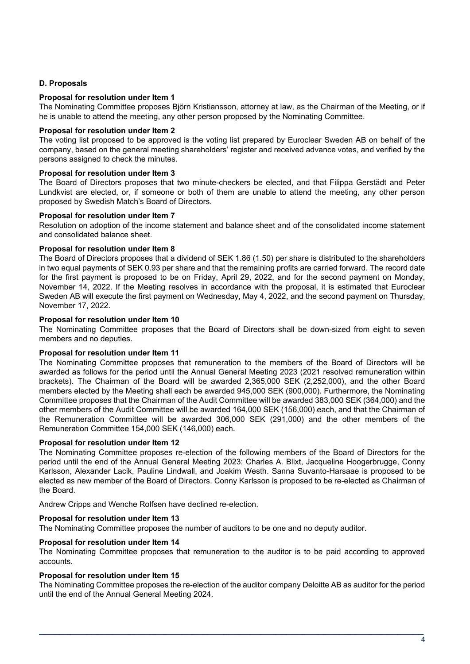# **D. Proposals**

## **Proposal for resolution under Item 1**

The Nominating Committee proposes Björn Kristiansson, attorney at law, as the Chairman of the Meeting, or if he is unable to attend the meeting, any other person proposed by the Nominating Committee.

### **Proposal for resolution under Item 2**

The voting list proposed to be approved is the voting list prepared by Euroclear Sweden AB on behalf of the company, based on the general meeting shareholders' register and received advance votes, and verified by the persons assigned to check the minutes.

### **Proposal for resolution under Item 3**

The Board of Directors proposes that two minute-checkers be elected, and that Filippa Gerstädt and Peter Lundkvist are elected, or, if someone or both of them are unable to attend the meeting, any other person proposed by Swedish Match's Board of Directors.

### **Proposal for resolution under Item 7**

Resolution on adoption of the income statement and balance sheet and of the consolidated income statement and consolidated balance sheet.

### **Proposal for resolution under Item 8**

The Board of Directors proposes that a dividend of SEK 1.86 (1.50) per share is distributed to the shareholders in two equal payments of SEK 0.93 per share and that the remaining profits are carried forward. The record date for the first payment is proposed to be on Friday, April 29, 2022, and for the second payment on Monday, November 14, 2022. If the Meeting resolves in accordance with the proposal, it is estimated that Euroclear Sweden AB will execute the first payment on Wednesday, May 4, 2022, and the second payment on Thursday, November 17, 2022.

### **Proposal for resolution under Item 10**

The Nominating Committee proposes that the Board of Directors shall be down-sized from eight to seven members and no deputies.

# **Proposal for resolution under Item 11**

The Nominating Committee proposes that remuneration to the members of the Board of Directors will be awarded as follows for the period until the Annual General Meeting 2023 (2021 resolved remuneration within brackets). The Chairman of the Board will be awarded 2,365,000 SEK (2,252,000), and the other Board members elected by the Meeting shall each be awarded 945,000 SEK (900,000). Furthermore, the Nominating Committee proposes that the Chairman of the Audit Committee will be awarded 383,000 SEK (364,000) and the other members of the Audit Committee will be awarded 164,000 SEK (156,000) each, and that the Chairman of the Remuneration Committee will be awarded 306,000 SEK (291,000) and the other members of the Remuneration Committee 154,000 SEK (146,000) each.

#### **Proposal for resolution under Item 12**

The Nominating Committee proposes re-election of the following members of the Board of Directors for the period until the end of the Annual General Meeting 2023: Charles A. Blixt, Jacqueline Hoogerbrugge, Conny Karlsson, Alexander Lacik, Pauline Lindwall, and Joakim Westh. Sanna Suvanto-Harsaae is proposed to be elected as new member of the Board of Directors. Conny Karlsson is proposed to be re-elected as Chairman of the Board.

Andrew Cripps and Wenche Rolfsen have declined re-election.

# **Proposal for resolution under Item 13**

The Nominating Committee proposes the number of auditors to be one and no deputy auditor.

#### **Proposal for resolution under Item 14**

The Nominating Committee proposes that remuneration to the auditor is to be paid according to approved accounts.

#### **Proposal for resolution under Item 15**

The Nominating Committee proposes the re-election of the auditor company Deloitte AB as auditor for the period until the end of the Annual General Meeting 2024.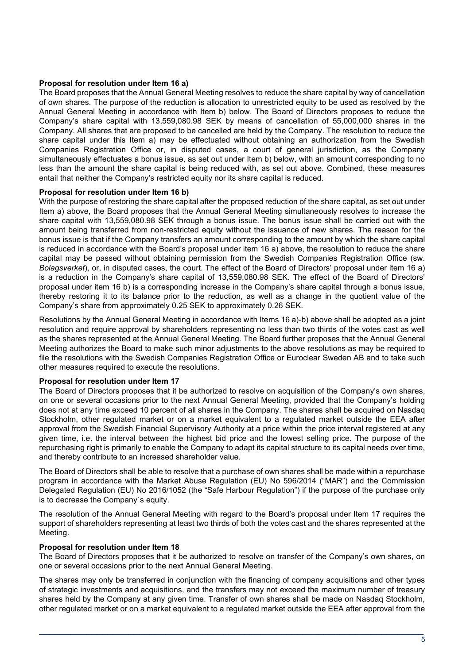## **Proposal for resolution under Item 16 a)**

The Board proposes that the Annual General Meeting resolves to reduce the share capital by way of cancellation of own shares. The purpose of the reduction is allocation to unrestricted equity to be used as resolved by the Annual General Meeting in accordance with Item b) below. The Board of Directors proposes to reduce the Company's share capital with 13,559,080.98 SEK by means of cancellation of 55,000,000 shares in the Company. All shares that are proposed to be cancelled are held by the Company. The resolution to reduce the share capital under this Item a) may be effectuated without obtaining an authorization from the Swedish Companies Registration Office or, in disputed cases, a court of general jurisdiction, as the Company simultaneously effectuates a bonus issue, as set out under Item b) below, with an amount corresponding to no less than the amount the share capital is being reduced with, as set out above. Combined, these measures entail that neither the Company's restricted equity nor its share capital is reduced.

#### **Proposal for resolution under Item 16 b)**

With the purpose of restoring the share capital after the proposed reduction of the share capital, as set out under Item a) above, the Board proposes that the Annual General Meeting simultaneously resolves to increase the share capital with 13,559,080.98 SEK through a bonus issue. The bonus issue shall be carried out with the amount being transferred from non-restricted equity without the issuance of new shares. The reason for the bonus issue is that if the Company transfers an amount corresponding to the amount by which the share capital is reduced in accordance with the Board's proposal under item 16 a) above, the resolution to reduce the share capital may be passed without obtaining permission from the Swedish Companies Registration Office (sw. *Bolagsverket*), or, in disputed cases, the court. The effect of the Board of Directors' proposal under item 16 a) is a reduction in the Company's share capital of 13,559,080.98 SEK. The effect of the Board of Directors' proposal under item 16 b) is a corresponding increase in the Company's share capital through a bonus issue, thereby restoring it to its balance prior to the reduction, as well as a change in the quotient value of the Company's share from approximately 0.25 SEK to approximately 0.26 SEK.

Resolutions by the Annual General Meeting in accordance with Items 16 a)-b) above shall be adopted as a joint resolution and require approval by shareholders representing no less than two thirds of the votes cast as well as the shares represented at the Annual General Meeting. The Board further proposes that the Annual General Meeting authorizes the Board to make such minor adjustments to the above resolutions as may be required to file the resolutions with the Swedish Companies Registration Office or Euroclear Sweden AB and to take such other measures required to execute the resolutions.

#### **Proposal for resolution under Item 17**

The Board of Directors proposes that it be authorized to resolve on acquisition of the Company's own shares, on one or several occasions prior to the next Annual General Meeting, provided that the Company's holding does not at any time exceed 10 percent of all shares in the Company. The shares shall be acquired on Nasdaq Stockholm, other regulated market or on a market equivalent to a regulated market outside the EEA after approval from the Swedish Financial Supervisory Authority at a price within the price interval registered at any given time, i.e. the interval between the highest bid price and the lowest selling price. The purpose of the repurchasing right is primarily to enable the Company to adapt its capital structure to its capital needs over time, and thereby contribute to an increased shareholder value.

The Board of Directors shall be able to resolve that a purchase of own shares shall be made within a repurchase program in accordance with the Market Abuse Regulation (EU) No 596/2014 ("MAR") and the Commission Delegated Regulation (EU) No 2016/1052 (the "Safe Harbour Regulation") if the purpose of the purchase only is to decrease the Company´s equity.

The resolution of the Annual General Meeting with regard to the Board's proposal under Item 17 requires the support of shareholders representing at least two thirds of both the votes cast and the shares represented at the Meeting.

## **Proposal for resolution under Item 18**

The Board of Directors proposes that it be authorized to resolve on transfer of the Company's own shares, on one or several occasions prior to the next Annual General Meeting.

The shares may only be transferred in conjunction with the financing of company acquisitions and other types of strategic investments and acquisitions, and the transfers may not exceed the maximum number of treasury shares held by the Company at any given time. Transfer of own shares shall be made on Nasdaq Stockholm, other regulated market or on a market equivalent to a regulated market outside the EEA after approval from the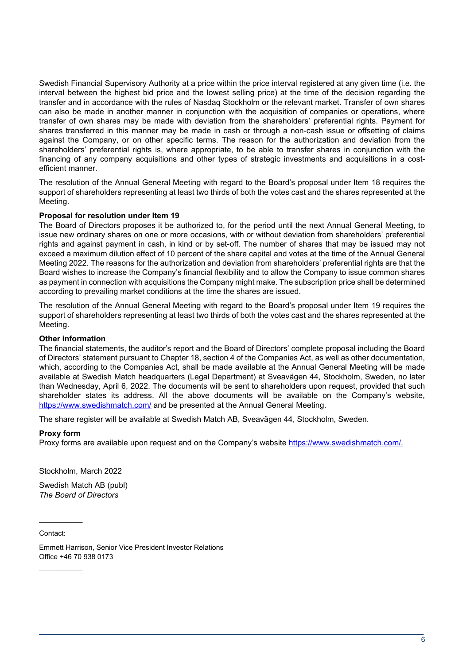Swedish Financial Supervisory Authority at a price within the price interval registered at any given time (i.e. the interval between the highest bid price and the lowest selling price) at the time of the decision regarding the transfer and in accordance with the rules of Nasdaq Stockholm or the relevant market. Transfer of own shares can also be made in another manner in conjunction with the acquisition of companies or operations, where transfer of own shares may be made with deviation from the shareholders' preferential rights. Payment for shares transferred in this manner may be made in cash or through a non-cash issue or offsetting of claims against the Company, or on other specific terms. The reason for the authorization and deviation from the shareholders' preferential rights is, where appropriate, to be able to transfer shares in conjunction with the financing of any company acquisitions and other types of strategic investments and acquisitions in a costefficient manner.

The resolution of the Annual General Meeting with regard to the Board's proposal under Item 18 requires the support of shareholders representing at least two thirds of both the votes cast and the shares represented at the Meeting.

# **Proposal for resolution under Item 19**

The Board of Directors proposes it be authorized to, for the period until the next Annual General Meeting, to issue new ordinary shares on one or more occasions, with or without deviation from shareholders' preferential rights and against payment in cash, in kind or by set-off. The number of shares that may be issued may not exceed a maximum dilution effect of 10 percent of the share capital and votes at the time of the Annual General Meeting 2022. The reasons for the authorization and deviation from shareholders' preferential rights are that the Board wishes to increase the Company's financial flexibility and to allow the Company to issue common shares as payment in connection with acquisitions the Company might make. The subscription price shall be determined according to prevailing market conditions at the time the shares are issued.

The resolution of the Annual General Meeting with regard to the Board's proposal under Item 19 requires the support of shareholders representing at least two thirds of both the votes cast and the shares represented at the Meeting.

#### **Other information**

The financial statements, the auditor's report and the Board of Directors' complete proposal including the Board of Directors' statement pursuant to Chapter 18, section 4 of the Companies Act, as well as other documentation, which, according to the Companies Act, shall be made available at the Annual General Meeting will be made available at Swedish Match headquarters (Legal Department) at Sveavägen 44, Stockholm, Sweden, no later than Wednesday, April 6, 2022. The documents will be sent to shareholders upon request, provided that such shareholder states its address. All the above documents will be available on the Company's website, <https://www.swedishmatch.com/> and be presented at the Annual General Meeting.

The share register will be available at Swedish Match AB, Sveavägen 44, Stockholm, Sweden.

# **Proxy form**

Proxy forms are available upon request and on the Company's website [https://www.swedishmatch.com/.](https://www.swedishmatch.com/)

\_\_\_\_\_\_\_\_\_\_\_\_\_\_\_\_\_\_\_\_\_\_\_\_\_\_\_\_\_\_\_\_\_\_\_\_\_\_\_\_\_\_\_\_\_\_\_\_\_\_\_\_\_\_\_\_\_\_\_\_\_\_\_\_\_\_\_\_\_\_\_\_\_

Stockholm, March 2022

Swedish Match AB (publ) *The Board of Directors*

Contact:

 $\frac{1}{2}$ 

\_\_\_\_\_\_\_\_\_\_\_

Emmett Harrison, Senior Vice President Investor Relations Office +46 70 938 0173